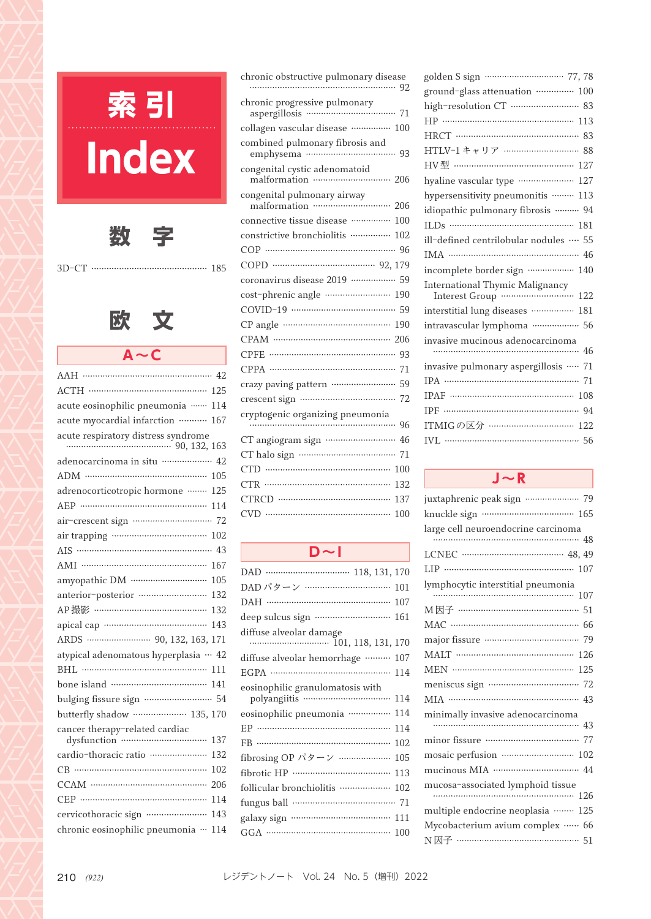

| chronic obstructive pulmonary disease<br>92   |
|-----------------------------------------------|
| 71                                            |
| collagen vascular disease …………… 100           |
| 93                                            |
| congenital cystic adenomatoid<br>206          |
| 206                                           |
| connective tissue disease ……………<br>100        |
| constrictive bronchiolitis ……………<br>102       |
| -96                                           |
|                                               |
| coronavirus disease 2019 ················· 59 |
| cost-phrenic angle …………………… 190               |
| .59                                           |
| 190                                           |
|                                               |
| 93                                            |
| 71                                            |
| crazy paving pattern ……………………<br>59           |
| crescent sign ………………………………<br>72              |
| 96                                            |
| 46                                            |
| 71                                            |
| <b>CTD</b><br>100                             |
| CTR<br>132                                    |
| 137                                           |
| 100<br>∋                                      |
|                                               |

#### **D~I**

| DAD パターン …………………………… 101                      |     |
|-----------------------------------------------|-----|
| DAH ………………………………………… 107                      |     |
| deep sulcus sign ……………………… 161                |     |
| diffuse alveolar damage<br>101, 118, 131, 170 |     |
| diffuse alveolar hemorrhage ……… 107           |     |
|                                               |     |
| eosinophilic granulomatosis with              |     |
| eosinophilic pneumonia …………… 114              |     |
| EP ………………………………………………                         | 114 |
|                                               | 102 |
| fibrosing OP パターン ………………… 105                 |     |
| fibrotic HP ……………………………… 113                  |     |
| follicular bronchiolitis ……………… 102           |     |
|                                               |     |
|                                               |     |
|                                               |     |

| ground-glass attenuation …………… 100                |
|---------------------------------------------------|
| high-resolution CT ··························· 83 |
|                                                   |
|                                                   |
| HTLV-1キャリア ……………………… 88                           |
| HV型 ……………………………………… 127                           |
| hyaline vascular type …………………<br>127              |
| hypersensitivity pneumonitis  113                 |
| idiopathic pulmonary fibrosis  94                 |
| ILDs ……………………………………… 181                          |
| ill-defined centrilobular nodules  55             |
|                                                   |
| incomplete border sign ……………… 140                 |
| International Thymic Malignancy                   |
| interstitial lung diseases …………… 181              |
| intravascular lymphoma ……………… 56                  |
| invasive mucinous adenocarcinoma                  |
| invasive pulmonary aspergillosis …… 71            |
|                                                   |
| IPAF ……………………………………… 108                          |
|                                                   |
| ITMIGの区分 ………………………… 122                           |
|                                                   |
|                                                   |

#### **J~R**

| juxtaphrenic peak sign ………………… 79   |
|-------------------------------------|
| knuckle sign …………………………… 165        |
| large cell neuroendocrine carcinoma |
|                                     |
| LCNEC ………………………………… 48, 49          |
| LIP $\cdots$ 107                    |
| lymphocytic interstitial pneumonia  |
|                                     |
| M因子 ……………………………………… 51              |
|                                     |
|                                     |
| MALT …………………………………… 126             |
|                                     |
|                                     |
|                                     |
| minimally invasive adenocarcinoma   |
|                                     |
|                                     |
| mosaic perfusion ……………………… 102      |
|                                     |
| mucosa-associated lymphoid tissue   |
|                                     |
| multiple endocrine neoplasia …… 125 |
| Mycobacterium avium complex …… 66   |
| N因子 ……………………………………… 51              |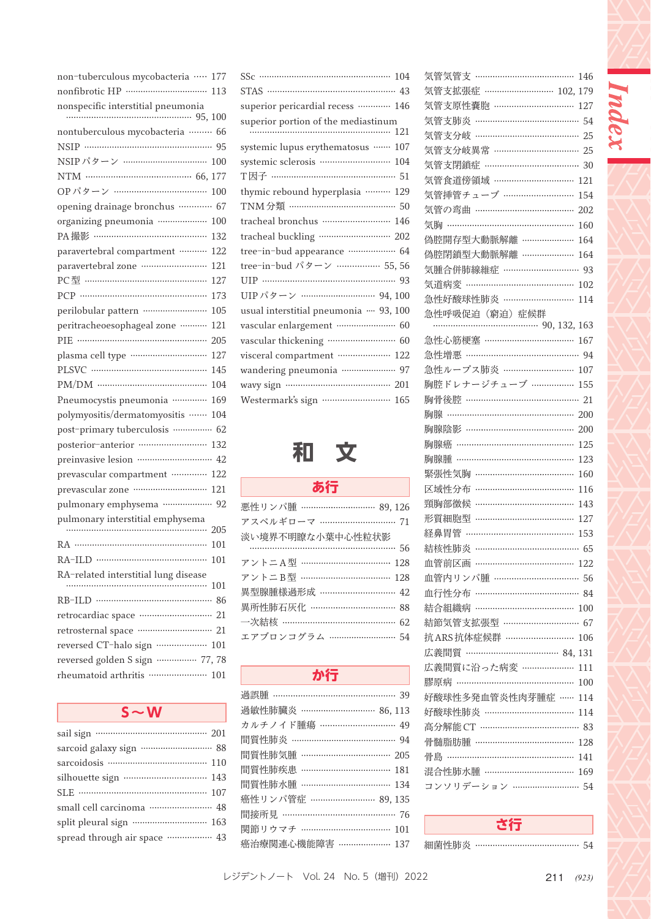| non-tuberculous mycobacteria<br>$\cdots$<br>177       |
|-------------------------------------------------------|
| 113                                                   |
| nonspecific interstitial pneumonia<br>100             |
|                                                       |
| nontuberculous mycobacteria ……… 66<br>$NSIP$<br>95    |
| NSIP パターン ……………………<br>100                             |
| $\cdots$ 66.<br>NTM<br>177                            |
| OPパターン ……………………………<br>100                             |
| opening drainage bronchus …………<br>67                  |
| organizing pneumonia ………………<br>100                    |
| PA 撮影 ……………………………………<br>132                           |
| paravertebral compartment<br>122                      |
| paravertebral zone ···························<br>121 |
| PC型 ……………………………………<br>127                             |
| 173                                                   |
| perilobular pattern ------------------------<br>105   |
| peritracheoesophageal zone ………<br>121                 |
| PIE ……………………………………………<br>205                          |
| plasma cell type …………………………<br>127                    |
| 145                                                   |
| 104                                                   |
| Pneumocystis pneumonia …………<br>169                    |
| polymyositis/dermatomyositis<br>104                   |
| post-primary tuberculosis ………….<br>-62                |
| 132                                                   |
| 42                                                    |
| prevascular compartment …………<br>122                   |
| prevascular zone momentum<br>121                      |
| pulmonary emphysema ………………<br>92                      |
| pulmonary interstitial emphysema<br>205               |
| 101                                                   |
| RA-ILD …………………………………<br>101                           |
| RA-related interstitial lung disease                  |
| 101                                                   |
| RB-ILD ……………………………………<br>86                           |
| <br>retrocardiac space<br>21                          |
| <br>retrosternal space<br>21                          |
| reversed CT-halo sign<br><br>101                      |
| reversed golden S sign<br>77, 78                      |
| rheumatoid arthritis ………………<br>101                    |
|                                                       |

| sail sign ………………………………… 201                            |
|--------------------------------------------------------|
| sarcoid galaxy sign ······························· 88 |
| sarcoidosis ………………………………… 110                          |
|                                                        |
| SLE ……………………………………… 107                                |
| small cell carcinoma …………………… 48                       |
|                                                        |
| spread through air space ……………… 43                     |

| STAS ………………………………………… 43               |
|----------------------------------------|
| superior pericardial recess ………… 146   |
| superior portion of the mediastinum    |
| systemic lupus erythematosus  107      |
| systemic sclerosis ……………………… 104       |
| T因子 ………………………………………… 51                |
| thymic rebound hyperplasia ……… 129     |
| TNM 分類 ………………………………… 50                |
| tracheal bronchus …………………… 146         |
| tracheal buckling  202                 |
| tree-in-bud appearance ……………… 64       |
| tree-in-bud パターン …………… 55,56           |
|                                        |
| UIPパターン ………………………… 94, 100             |
| usual interstitial pneumonia - 93, 100 |
| vascular enlargement …………………… 60       |
|                                        |
| visceral compartment ……………… 122        |
| wandering pneumonia ………………… 97         |
| wavy sign ……………………………… 201             |
| Westermark's sign  165                 |
|                                        |

# **和 文**

# **あ行**

| 悪性リンパ腫 ……………………… 89,126 |
|-------------------------|
| アスペルギローマ ……………………… 71   |
| 淡い境界不明瞭な小葉中心性粒状影        |
|                         |
| アントニA型 …………………………… 128  |
| アントニB型 …………………………… 128  |
| 異型腺腫様過形成 ……………………… 42   |
| 異所性肺石灰化 ………………………… 88   |
| 一次結核 …………………………………… 62  |
| エアブロンコグラム ……………………… 54  |

## **か行**

| 過誤腫 ……………………………………… 39  |
|-------------------------|
| 過敏性肺臓炎 ……………………… 86,113 |
| カルチノイド腫瘍 ……………………… 49   |
| 間質性肺炎 ………………………………… 94  |
| 間質性肺気腫 …………………………… 205  |
| 間質性肺疾患 …………………………… 181  |
| 間質性肺水腫 …………………………… 134  |
| 癌性リンパ管症 …………………… 89.135 |
| 間接所見 …………………………………… 76  |
| 関節リウマチ …………………………… 101  |
| 癌治療関連心機能障害 ………………… 137  |

|                                                  | 146 |
|--------------------------------------------------|-----|
| 気管気管支 …………………………………<br>気管支拡張症 ……………………… 102, 179 |     |
| 気管支原性嚢胞 ………………………… 127                           |     |
| 気管支肺炎 ………………………………… 54                           |     |
| 気管支分岐                                            |     |
| 気管支分岐異常 …………………………… 25                           |     |
| 気管支閉鎖症 ……………………………… 30                           |     |
| 気管食道傍領域 …………………………<br>121                        |     |
| 気管挿管チューブ ………………………<br>154                        |     |
| 気管の弯曲 …………………………………<br>202                       |     |
| 気胸 …………………………………………<br>160                       |     |
| 偽腔開存型大動脈解離 …………………                               |     |
| 164<br>偽腔閉鎖型大動脈解離 ………………                         |     |
| 164<br>気腫合併肺線維症 ………………………… 93                    |     |
|                                                  |     |
| 気道病変 …………………………………<br>102                        |     |
| 急性好酸球性肺炎 ………………………<br>114                        |     |
| 急性呼吸促迫(窮迫)症候群                                    |     |
| 急性心筋梗塞 ……………………………<br>167                        |     |
| 急性増悪 …………………………………… 94                           |     |
| 急性ループス肺炎 ……………………… 107                           |     |
| 胸腔ドレナージチューブ …………….                               |     |
| 155<br>胸骨後腔 …………………………………… 21                    |     |
| 胸腺 ………………………………………… 200                          |     |
| 胸腺陰影 …………………………………                               |     |
| 200                                              |     |
|                                                  |     |
| 胸腺癌 ……………………………………<br>125                        |     |
| 胸腺腫 ………………………………………<br>123                       |     |
| 緊張性気胸 ………………………………<br>160                        |     |
| 区域性分布 ………………………………<br>116                        |     |
| 頸胸部徵候 ………………………………<br>143                        |     |
| <br>形質細胞型<br>127                                 |     |
| 経鼻胃管 …………………………………<br>153                        |     |
| 結核性肺炎 ………………………………… 65                           |     |
| 血管前区画                                            |     |
| 血管内リンパ腫 …………………………… 56                           |     |
| 血行性分布                                            |     |
| $\cdots$ 100<br>結合組織病                            |     |
| 結節気管支拡張型 ………………………… 67                           |     |
| 抗ARS 抗体症候群 ……………………<br>106                       |     |
| 広義間質 ……………………………… 84, 131                        |     |
| 広義間質に沿った病変 ………………… 111                           |     |
| 膠原病 ……………………………………… 100                          |     |
| 好酸球性多発血管炎性肉芽腫症 …… 114                            |     |
| 好酸球性肺炎 …………………………… 114                           |     |
| 高分解能 CT ……………………………… 83                          |     |
| 骨髄脂肪腫 ……………………………… 128                           |     |
| 骨島 ………………………………………… 141                          |     |
| 混合性肺水腫 …………………………… 169                           |     |
| コンソリデーション ……………………… 54                           |     |

Index